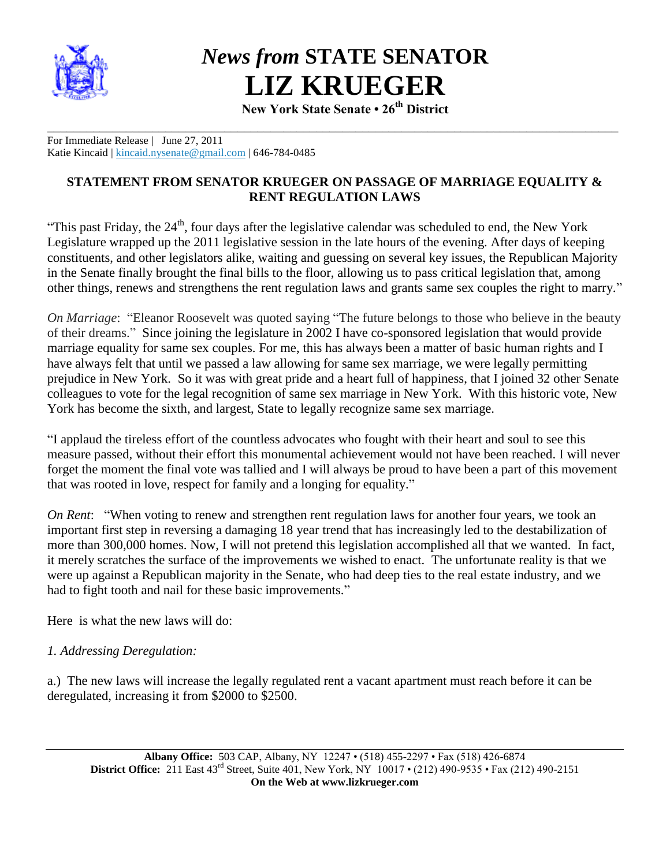

*News from* **STATE SENATOR LIZ KRUEGER**

**New York State Senate • 26th District**

\_\_\_\_\_\_\_\_\_\_\_\_\_\_\_\_\_\_\_\_\_\_\_\_\_\_\_\_\_\_\_\_\_\_\_\_\_\_\_\_\_\_\_\_\_\_\_\_\_\_\_\_\_\_\_\_\_\_\_\_\_\_\_\_\_\_\_\_\_\_\_\_\_\_\_\_\_\_\_\_\_\_\_\_\_\_\_ For Immediate Release | June 27, 2011 Katie Kincaid | [kincaid.nysenate@gmail.com](mailto:kincaid.nysenate@gmail.com) | 646-784-0485

## **STATEMENT FROM SENATOR KRUEGER ON PASSAGE OF MARRIAGE EQUALITY & RENT REGULATION LAWS**

"This past Friday, the  $24<sup>th</sup>$ , four days after the legislative calendar was scheduled to end, the New York Legislature wrapped up the 2011 legislative session in the late hours of the evening. After days of keeping constituents, and other legislators alike, waiting and guessing on several key issues, the Republican Majority in the Senate finally brought the final bills to the floor, allowing us to pass critical legislation that, among other things, renews and strengthens the rent regulation laws and grants same sex couples the right to marry."

*On Marriage*: "Eleanor Roosevelt was quoted saying "The future belongs to those who believe in the beauty of their dreams." Since joining the legislature in 2002 I have co-sponsored legislation that would provide marriage equality for same sex couples. For me, this has always been a matter of basic human rights and I have always felt that until we passed a law allowing for same sex marriage, we were legally permitting prejudice in New York. So it was with great pride and a heart full of happiness, that I joined 32 other Senate colleagues to vote for the legal recognition of same sex marriage in New York. With this historic vote, New York has become the sixth, and largest, State to legally recognize same sex marriage.

"I applaud the tireless effort of the countless advocates who fought with their heart and soul to see this measure passed, without their effort this monumental achievement would not have been reached. I will never forget the moment the final vote was tallied and I will always be proud to have been a part of this movement that was rooted in love, respect for family and a longing for equality."

*On Rent*: "When voting to renew and strengthen rent regulation laws for another four years, we took an important first step in reversing a damaging 18 year trend that has increasingly led to the destabilization of more than 300,000 homes. Now, I will not pretend this legislation accomplished all that we wanted. In fact, it merely scratches the surface of the improvements we wished to enact. The unfortunate reality is that we were up against a Republican majority in the Senate, who had deep ties to the real estate industry, and we had to fight tooth and nail for these basic improvements."

Here is what the new laws will do:

#### *1. Addressing Deregulation:*

a.) The new laws will increase the legally regulated rent a vacant apartment must reach before it can be deregulated, increasing it from \$2000 to \$2500.